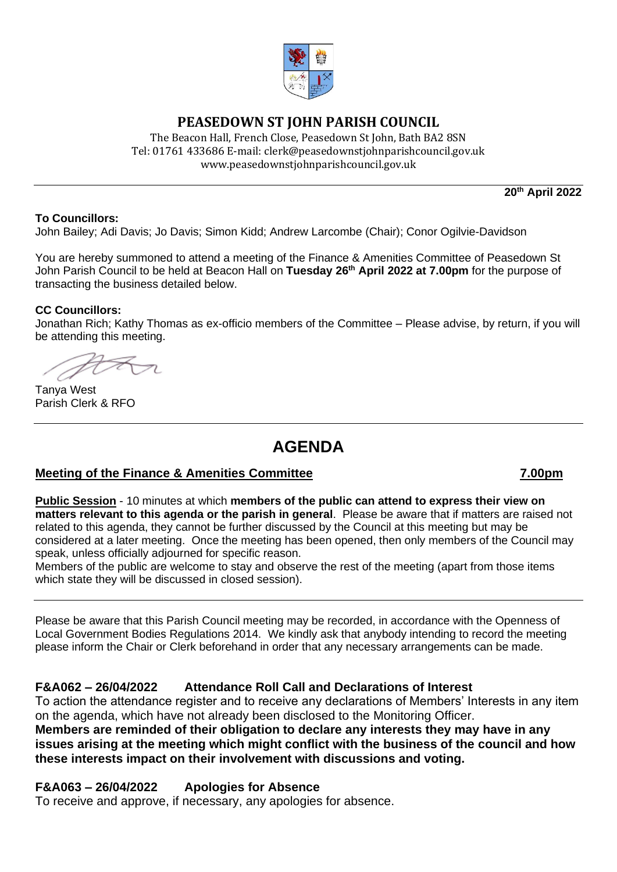

# **PEASEDOWN ST JOHN PARISH COUNCIL**

The Beacon Hall, French Close, Peasedown St John, Bath BA2 8SN Tel: 01761 433686 E-mail: clerk@peasedownstjohnparishcouncil.gov.uk [www.peasedownstjohnparishcouncil.gov.uk](http://www.peasedownstjohnparishcouncil.gov.uk/)

**20th April 2022**

#### **To Councillors:**

John Bailey; Adi Davis; Jo Davis; Simon Kidd; Andrew Larcombe (Chair); Conor Ogilvie-Davidson

You are hereby summoned to attend a meeting of the Finance & Amenities Committee of Peasedown St John Parish Council to be held at Beacon Hall on **Tuesday 26th April 2022 at 7.00pm** for the purpose of transacting the business detailed below.

#### **CC Councillors:**

Jonathan Rich; Kathy Thomas as ex-officio members of the Committee – Please advise, by return, if you will be attending this meeting.

Tanya West Parish Clerk & RFO

# **AGENDA**

#### **Meeting of the Finance & Amenities Committee 7.00pm**

#### **Public Session** - 10 minutes at which **members of the public can attend to express their view on matters relevant to this agenda or the parish in general**. Please be aware that if matters are raised not related to this agenda, they cannot be further discussed by the Council at this meeting but may be considered at a later meeting. Once the meeting has been opened, then only members of the Council may speak, unless officially adjourned for specific reason.

Members of the public are welcome to stay and observe the rest of the meeting (apart from those items which state they will be discussed in closed session).

Please be aware that this Parish Council meeting may be recorded, in accordance with the Openness of Local Government Bodies Regulations 2014. We kindly ask that anybody intending to record the meeting please inform the Chair or Clerk beforehand in order that any necessary arrangements can be made.

## **F&A062 – 26/04/2022 Attendance Roll Call and Declarations of Interest**

To action the attendance register and to receive any declarations of Members' Interests in any item on the agenda, which have not already been disclosed to the Monitoring Officer. **Members are reminded of their obligation to declare any interests they may have in any issues arising at the meeting which might conflict with the business of the council and how these interests impact on their involvement with discussions and voting.**

## **F&A063 – 26/04/2022 Apologies for Absence**

To receive and approve, if necessary, any apologies for absence.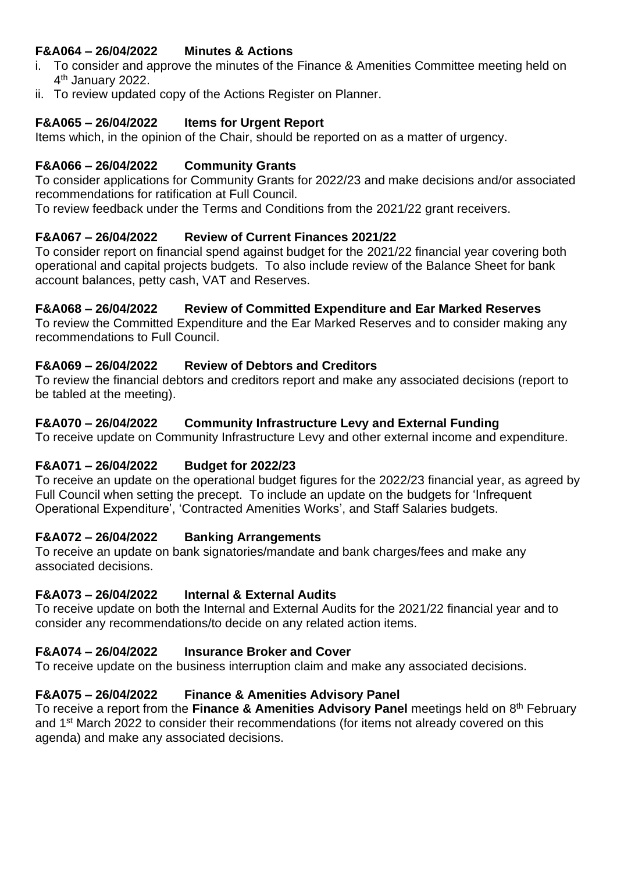# **F&A064 – 26/04/2022 Minutes & Actions**

- i. To consider and approve the minutes of the Finance & Amenities Committee meeting held on 4<sup>th</sup> January 2022.
- ii. To review updated copy of the Actions Register on Planner.

# **F&A065 – 26/04/2022 Items for Urgent Report**

Items which, in the opinion of the Chair, should be reported on as a matter of urgency.

# **F&A066 – 26/04/2022 Community Grants**

To consider applications for Community Grants for 2022/23 and make decisions and/or associated recommendations for ratification at Full Council.

To review feedback under the Terms and Conditions from the 2021/22 grant receivers.

## **F&A067 – 26/04/2022 Review of Current Finances 2021/22**

To consider report on financial spend against budget for the 2021/22 financial year covering both operational and capital projects budgets. To also include review of the Balance Sheet for bank account balances, petty cash, VAT and Reserves.

## **F&A068 – 26/04/2022 Review of Committed Expenditure and Ear Marked Reserves**

To review the Committed Expenditure and the Ear Marked Reserves and to consider making any recommendations to Full Council.

## **F&A069 – 26/04/2022 Review of Debtors and Creditors**

To review the financial debtors and creditors report and make any associated decisions (report to be tabled at the meeting).

## **F&A070 – 26/04/2022 Community Infrastructure Levy and External Funding**

To receive update on Community Infrastructure Levy and other external income and expenditure.

## **F&A071 – 26/04/2022 Budget for 2022/23**

To receive an update on the operational budget figures for the 2022/23 financial year, as agreed by Full Council when setting the precept. To include an update on the budgets for 'Infrequent Operational Expenditure', 'Contracted Amenities Works', and Staff Salaries budgets.

## **F&A072 – 26/04/2022 Banking Arrangements**

To receive an update on bank signatories/mandate and bank charges/fees and make any associated decisions.

## **F&A073 – 26/04/2022 Internal & External Audits**

To receive update on both the Internal and External Audits for the 2021/22 financial year and to consider any recommendations/to decide on any related action items.

## **F&A074 – 26/04/2022 Insurance Broker and Cover**

To receive update on the business interruption claim and make any associated decisions.

## **F&A075 – 26/04/2022 Finance & Amenities Advisory Panel**

To receive a report from the **Finance & Amenities Advisory Panel** meetings held on 8 th February and 1<sup>st</sup> March 2022 to consider their recommendations (for items not already covered on this agenda) and make any associated decisions.